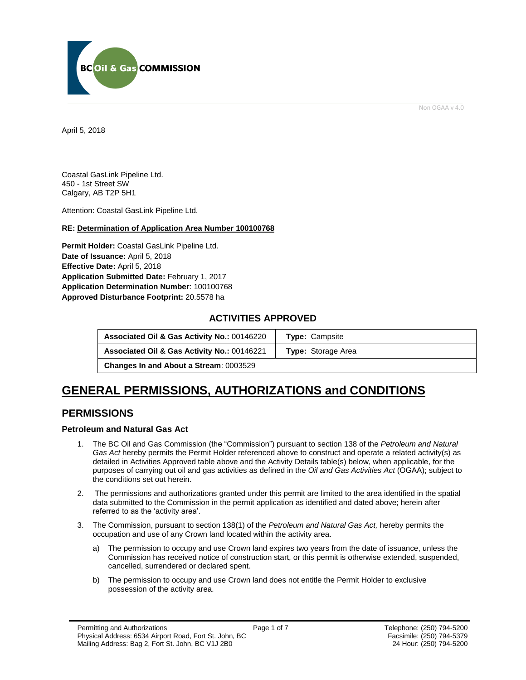

Non OGAA v 4.0

<span id="page-0-0"></span>April 5, 2018

Coastal GasLink Pipeline Ltd. 450 - 1st Street SW Calgary, AB T2P 5H1

Attention: Coastal GasLink Pipeline Ltd.

#### **RE: Determination of Application Area Number 100100768**

**Permit Holder:** Coastal GasLink Pipeline Ltd. **Date of Issuance:** April 5, 2018 **Effective Date:** April 5, 2018 **Application Submitted Date:** February 1, 2017 **Application Determination Number**: 100100768 **[Approved Disturbance Footprint:](#page-0-0)** 20.5578 ha

### **ACTIVITIES APPROVED**

| Associated Oil & Gas Activity No.: 00146220            | <b>Type: Campsite</b>     |
|--------------------------------------------------------|---------------------------|
| <b>Associated Oil &amp; Gas Activity No.: 00146221</b> | <b>Type:</b> Storage Area |
| <b>Changes In and About a Stream: 0003529</b>          |                           |

# **GENERAL [PERMISSIONS,](#page-0-0) AUTHORIZATIONS and CONDITIONS**

## **PERMISSIONS**

#### **Petroleum and Natural Gas Act**

- 1. The BC Oil and Gas Commission (the "Commission") pursuant to section 138 of the *Petroleum and Natural Gas Act* hereby permits the Permit Holder referenced above to construct and operate a related activity(s) as detailed in Activities Approved table above and the Activity Details table(s) below, when applicable, for the purposes of carrying out oil and gas activities as defined in the *Oil and Gas Activities Act* (OGAA); subject to the conditions set out herein.
- 2. The [permissions](#page-0-0) and authorizations granted under this permit are limited to the area identified in the spatial data submitted to the Commission in the permit application as identified and dated above; herein after referred to as the 'activity area'.
- 3. The Commission, pursuant to section 138(1) of the *Petroleum and Natural Gas Act,* hereby permits the occupation and use of any Crown land located within the activity area.
	- a) The permission to occupy and use Crown land expires two years from the date of issuance, unless the Commission has received notice of construction start, or this permit is otherwise extended, suspended, cancelled, surrendered or declared spent.
	- b) The permission to occupy and use Crown land does not entitle the Permit Holder to exclusive possession of the activity area.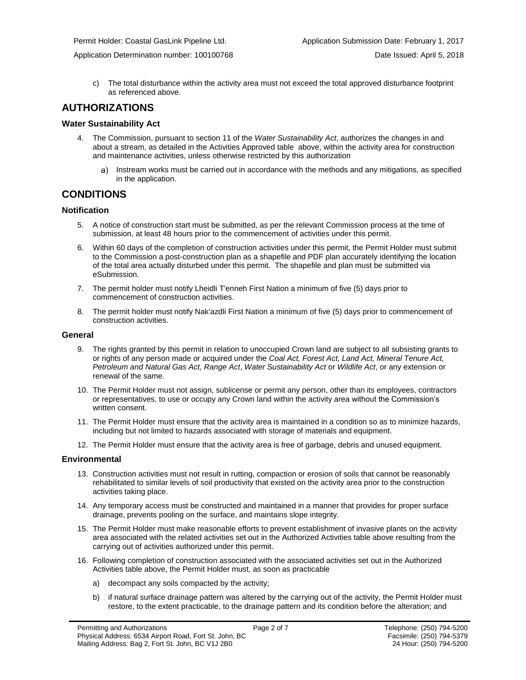c) The total disturbance within the activity area must not exceed the total approved disturbance footprint as referenced above.

## **AUTHORIZATIONS**

#### **Water Sustainability Act**

- 4. The Commission, pursuant to section 11 of the *Water Sustainability Act*[, authorizes](#page-0-0) the changes in and about a stream, as detailed in the Activities Approved table above, within the activity area for construction and maintenance activities, unless otherwise restricted by this [authorization](#page-0-0)
	- Instream works must be carried out in accordance with the methods and any mitigations, as specified in the application.

## **CONDITIONS**

#### **Notification**

- 5. A notice of construction start must be submitted, as per the relevant Commission process at the time of submission, at least 48 hours prior to the commencement of activities under this permit.
- 6. Within 60 days of the completion of construction activities under this permit, the Permit Holder must submit to the Commission a post-construction plan as a shapefile and PDF plan accurately identifying the location of the total area actually disturbed under this permit. The shapefile and plan must be submitted via eSubmission.
- 7. The permit holder must notify Lheidli T'enneh First Nation a minimum of five (5) days prior to commencement of construction activities.
- 8. The permit holder must notify Nak'azdli First Nation a minimum of five (5) days prior to commencement of construction activities.

#### **General**

- 9. The rights granted by this permit in relation to unoccupied Crown land are subject to all subsisting grants to or rights of any person made or acquired under the *Coal Act, Forest Act, Land Act, Mineral Tenure Act, Petroleum and Natural Gas Act, Range Act*, *Water Sustainability Act* or *Wildlife Act*, or any extension or renewal of the same.
- 10. The Permit Holder must not assign, sublicense or permit any person, other than its employees, contractors or representatives, to use or occupy any Crown land within the activity area without the Commission's written consent.
- 11. The Permit Holder must ensure that the activity area is maintained in a condition so as to minimize hazards, including but not limited to hazards associated with storage of materials and equipment.
- 12. The Permit Holder must ensure that the activity area is free of garbage, debris and unused equipment.

#### **Environmental**

- 13. Construction activities must not result in rutting, compaction or erosion of soils that cannot be reasonably rehabilitated to similar levels of soil productivity that existed on the activity area prior to the construction activities taking place.
- 14. Any temporary access must be constructed and maintained in a manner that provides for proper surface drainage, prevents pooling on the surface, and maintains slope integrity.
- 15. The Permit Holder must make reasonable efforts to prevent establishment of invasive plants on the activity area associated with the related activities set out in the Authorized Activities table above resulting from the carrying out of activities authorized under this permit.
- 16. Following completion of construction associated with the associated activities set out in the Authorized Activities table above, the Permit Holder must, as soon as practicable
	- a) decompact any soils compacted by the activity;
	- b) if natural surface drainage pattern was altered by the carrying out of the activity, the Permit Holder must restore, to the extent practicable, to the drainage pattern and its condition before the alteration; and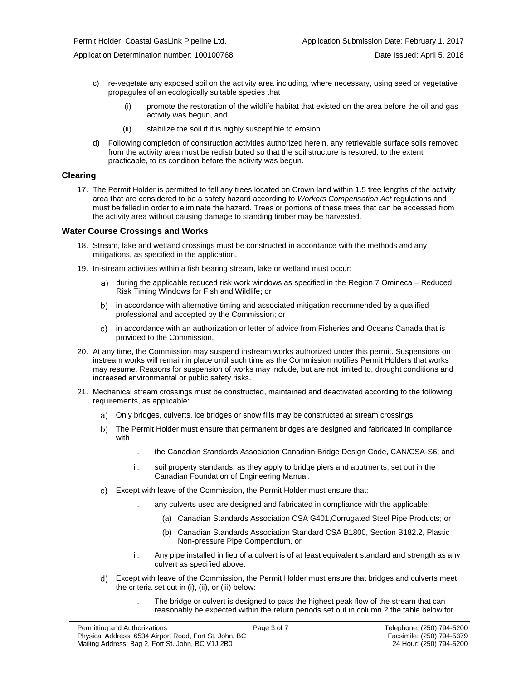- c) re-vegetate any exposed soil on the activity area including, where necessary, using seed or vegetative propagules of an ecologically suitable species that
	- promote the restoration of the wildlife habitat that existed on the area before the oil and gas activity was begun, and
	- (ii) stabilize the soil if it is highly susceptible to erosion.
- d) Following completion of construction activities authorized herein, any retrievable surface soils removed from the activity area must be redistributed so that the soil structure is restored, to the extent practicable, to its condition before the activity was begun.

#### **Clearing**

17. The Permit Holder is permitted to fell any trees located on Crown land within 1.5 tree lengths of the activity area that are considered to be a safety hazard according to *Workers Compensation Act* regulations and must be felled in order to eliminate the hazard. Trees or portions of these trees that can be accessed from the activity area without causing damage to standing timber may be harvested.

#### **Water Course Crossings and Works**

- 18. Stream, lake and wetland crossings must be constructed in accordance with the methods and any mitigations, as specified in the application.
- 19. In-stream activities within a fish bearing stream, lake or wetland must occur:
	- a) [during the applicable reduced risk work windows as specified in the](#page-0-0) Region 7 Omineca Reduced Risk Timing Windows for Fish and Wildlife; or
	- b) in accordance with alternative timing and associated mitigation recommended by a qualified professional and accepted b[y the C](#page-0-0)ommission; or
	- in accordance with an authorization or letter of advice from Fisheries and Oceans Canada that is provided to the Commission.
- 20. At any time, the Commission may suspend instream works [authorized](#page-0-0) under this permit. Suspensions on instream works will remain in place until such time as the Commission notifies Permit Holders that works may resume. Reasons for suspension of works may include, but are not limited to, drought conditions and increased environmental or public safety risks.
- 21. Mechanical stream crossings must be constructed, maintained and deactivated according to the following requirements, as applicable:
	- Only bridges, culverts, ice bridges or snow fills may be constructed at stream crossings;
	- The Permit Holder must ensure that permanent bridges are designed and fabricated in compliance with
		- i. the Canadian Standards Association Canadian Bridge Design Code, CAN/CSA-S6; and
		- ii. soil property standards, as they apply to bridge piers and abutments; set out in the Canadian Foundation of Engineering Manual.
	- Except with leave of the Commission, the Permit Holder must ensure that:
		- i. any culverts used are designed and fabricated in compliance with the applicable:
			- (a) Canadian Standards Association CSA G401,Corrugated Steel Pipe Products; or
			- (b) Canadian Standards Association Standard CSA B1800, Section B182.2, Plastic Non-pressure Pipe Compendium, or
		- ii. Any pipe installed in lieu of a culvert is of at least equivalent standard and strength as any culvert as specified above.
	- Except with leave of the Commission, the Permit Holder must ensure that bridges and culverts meet the criteria set out in (i), (ii), or (iii) below:
		- i. The bridge or culvert is designed to pass the highest peak flow of the stream that can reasonably be expected within the return periods set out in column 2 the table below for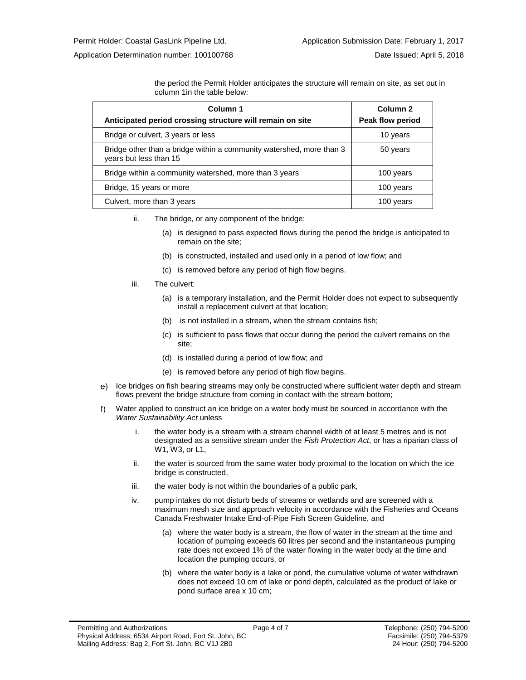the period the Permit Holder anticipates the structure will remain on site, as set out in column 1in the table below:

| Column 1                                                                                       | Column <sub>2</sub> |
|------------------------------------------------------------------------------------------------|---------------------|
| Anticipated period crossing structure will remain on site                                      | Peak flow period    |
| Bridge or culvert, 3 years or less                                                             | 10 years            |
| Bridge other than a bridge within a community watershed, more than 3<br>years but less than 15 | 50 years            |
| Bridge within a community watershed, more than 3 years                                         | 100 years           |
| Bridge, 15 years or more                                                                       | 100 years           |
| Culvert, more than 3 years                                                                     | 100 years           |

- ii. The bridge, or any component of the bridge:
	- (a) is designed to pass expected flows during the period the bridge is anticipated to remain on the site;
	- (b) is constructed, installed and used only in a period of low flow; and
	- (c) is removed before any period of high flow begins.
- iii. The culvert:
	- (a) is a temporary installation, and the Permit Holder does not expect to subsequently install a replacement culvert at that location;
	- (b) is not installed in a stream, when the stream contains fish;
	- (c) is sufficient to pass flows that occur during the period the culvert remains on the site;
	- (d) is installed during a period of low flow; and
	- (e) is removed before any period of high flow begins.
- e) Ice bridges on fish bearing streams may only be constructed where sufficient water depth and stream flows prevent the bridge structure from coming in contact with the stream bottom;
- $f$ Water applied to construct an ice bridge on a water body must be sourced in accordance with the *Water Sustainability Act* unless
	- i. the water body is a stream with a stream channel width of at least 5 metres and is not designated as a sensitive stream under the *Fish Protection Act*, or has a riparian class of W1, W3, or L1,
	- ii. the water is sourced from the same water body proximal to the location on which the ice bridge is constructed,
	- iii. the water body is not within the boundaries of a public park,
	- iv. pump intakes do not disturb beds of streams or wetlands and are screened with a maximum mesh size and approach velocity in accordance with the Fisheries and Oceans Canada Freshwater Intake End-of-Pipe Fish Screen Guideline, and
		- (a) where the water body is a stream, the flow of water in the stream at the time and location of pumping exceeds 60 litres per second and the instantaneous pumping rate does not exceed 1% of the water flowing in the water body at the time and location the pumping occurs, or
		- (b) where the water body is a lake or pond, the cumulative volume of water withdrawn does not exceed 10 cm of lake or pond depth, calculated as the product of lake or pond surface area x 10 cm;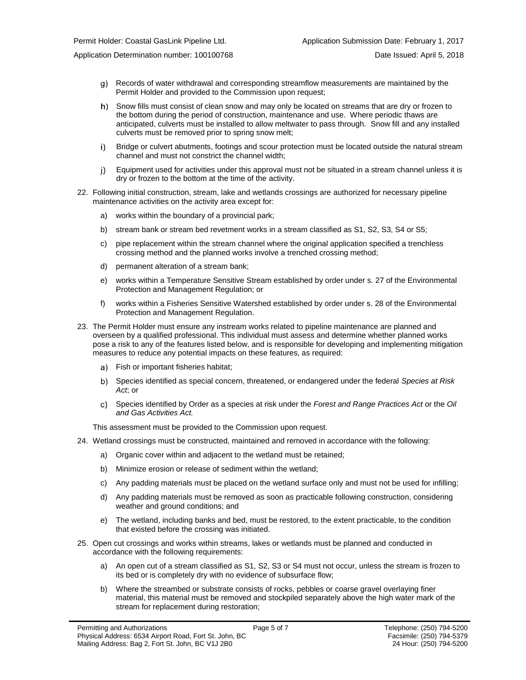- Records of water withdrawal and corresponding streamflow measurements are maintained by the Permit Holder and provided to the Commission upon request;
- h) Snow fills must consist of clean snow and may only be located on streams that are dry or frozen to the bottom during the period of construction, maintenance and use. Where periodic thaws are anticipated, culverts must be installed to allow meltwater to pass through. Snow fill and any installed culverts must be removed prior to spring snow melt;
- $i$ ) Bridge or culvert abutments, footings and scour protection must be located outside the natural stream channel and must not constrict the channel width;
- Equipment used for activities under this approval must not be situated in a stream channel unless it is j) dry or frozen to the bottom at the time of the activity.
- 22. Following initial construction, stream, lake and wetlands crossings are authorized for necessary pipeline maintenance activities on the activity area except for:
	- a) works within the boundary of a provincial park;
	- b) stream bank or stream bed revetment works in a stream classified as S1, S2, S3, S4 or S5;
	- c) pipe replacement within the stream channel where the original application specified a trenchless crossing method and the planned works involve a trenched crossing method;
	- d) permanent alteration of a stream bank;
	- e) works within a Temperature Sensitive Stream established by order under s. 27 of the Environmental Protection and Management Regulation; or
	- f) works within a Fisheries Sensitive Watershed established by order under s. 28 of the Environmental Protection and Management Regulation.
- 23. The Permit Holder must ensure any instream works related to pipeline maintenance are planned and overseen by a qualified professional. This individual must assess and determine whether planned works pose a risk to any of the features listed below, and is responsible for developing and implementing mitigation measures to reduce any potential impacts on these features, as required:
	- Fish or important fisheries habitat;
	- Species identified as special concern, threatened, or endangered under the federal *Species at Risk Act*; or
	- Species identified by Order as a species at risk under the *Forest and Range Practices Act* or the *Oil and Gas Activities Act.*

This assessment must be provided to the Commission upon request.

- 24. Wetland crossings must be constructed, maintained and removed in accordance with the following:
	- a) Organic cover within and adjacent to the wetland must be retained;
	- b) Minimize erosion or release of sediment within the wetland;
	- c) Any padding materials must be placed on the wetland surface only and must not be used for infilling;
	- d) Any padding materials must be removed as soon as practicable following construction, considering weather and ground conditions; and
	- e) The wetland, including banks and bed, must be restored, to the extent practicable, to the condition that existed before the crossing was initiated.
- 25. Open cut crossings and works within streams, lakes or wetlands must be planned and conducted in accordance with the following requirements:
	- a) An open cut of a stream classified as S1, S2, S3 or S4 must not occur, unless the stream is frozen to its bed or is completely dry with no evidence of subsurface flow;
	- b) Where the streambed or substrate consists of rocks, pebbles or coarse gravel overlaying finer material, this material must be removed and stockpiled separately above the high water mark of the stream for replacement during restoration;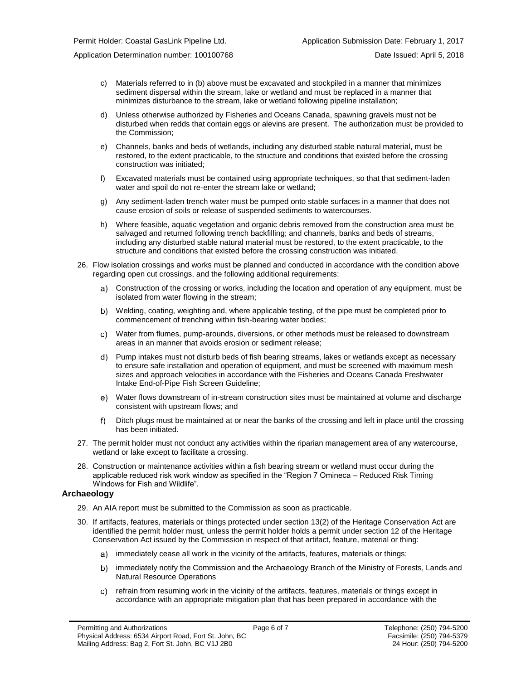- 
- c) Materials referred to in (b) above must be excavated and stockpiled in a manner that minimizes sediment dispersal within the stream, lake or wetland and must be replaced in a manner that minimizes disturbance to the stream, lake or wetland following pipeline installation;
- d) Unless otherwise authorized by Fisheries and Oceans Canada, spawning gravels must not be disturbed when redds that contain eggs or alevins are present. The authorization must be provided to the Commission;
- e) Channels, banks and beds of wetlands, including any disturbed stable natural material, must be restored, to the extent practicable, to the structure and conditions that existed before the crossing construction was initiated;
- f) Excavated materials must be contained using appropriate techniques, so that that sediment-laden water and spoil do not re-enter the stream lake or wetland;
- g) Any sediment-laden trench water must be pumped onto stable surfaces in a manner that does not cause erosion of soils or release of suspended sediments to watercourses.
- h) Where feasible, aquatic vegetation and organic debris removed from the construction area must be salvaged and returned following trench backfilling; and channels, banks and beds of streams, including any disturbed stable natural material must be restored, to the extent practicable, to the structure and conditions that existed before the crossing construction was initiated.
- 26. Flow isolation crossings and works must be planned and conducted in accordance with the condition above regarding open cut crossings, and the following additional requirements:
	- a) Construction of the crossing or works, including the location and operation of any equipment, must be isolated from water flowing in the stream;
	- Welding, coating, weighting and, where applicable testing, of the pipe must be completed prior to commencement of trenching within fish-bearing water bodies;
	- Water from flumes, pump-arounds, diversions, or other methods must be released to downstream areas in an manner that avoids erosion or sediment release;
	- Pump intakes must not disturb beds of fish bearing streams, lakes or wetlands except as necessary to ensure safe installation and operation of equipment, and must be screened with maximum mesh sizes and approach velocities in accordance with the Fisheries and Oceans Canada Freshwater Intake End-of-Pipe Fish Screen Guideline;
	- Water flows downstream of in-stream construction sites must be maintained at volume and discharge consistent with upstream flows; and
	- Ditch plugs must be maintained at or near the banks of the crossing and left in place until the crossing has been initiated.
- 27. The permit holder must not conduct any activities within the riparian management area of any watercourse, wetland or lake except to facilitate a crossing.
- 28. Construction or maintenance activities within a fish bearing stream or wetland must occur during the applicable reduced risk work window as specified in the "Region 7 Omineca – Reduced Risk Timing Windows for Fish and Wildlife".

#### **Archaeology**

- 29. An AIA report must be submitted to the Commission as soon as practicable.
- 30. If artifacts, features, materials or things protected under section 13(2) of the Heritage Conservation Act are identified the permit holder must, unless the permit holder holds a permit under section 12 of the Heritage Conservation Act issued by the Commission in respect of that artifact, feature, material or thing:
	- a) immediately cease all work in the vicinity of the artifacts, features, materials or things;
	- b) immediately notify the Commission and the Archaeology Branch of the Ministry of Forests, Lands and Natural Resource Operations
	- refrain from resuming work in the vicinity of the artifacts, features, materials or things except in accordance with an appropriate mitigation plan that has been prepared in accordance with the